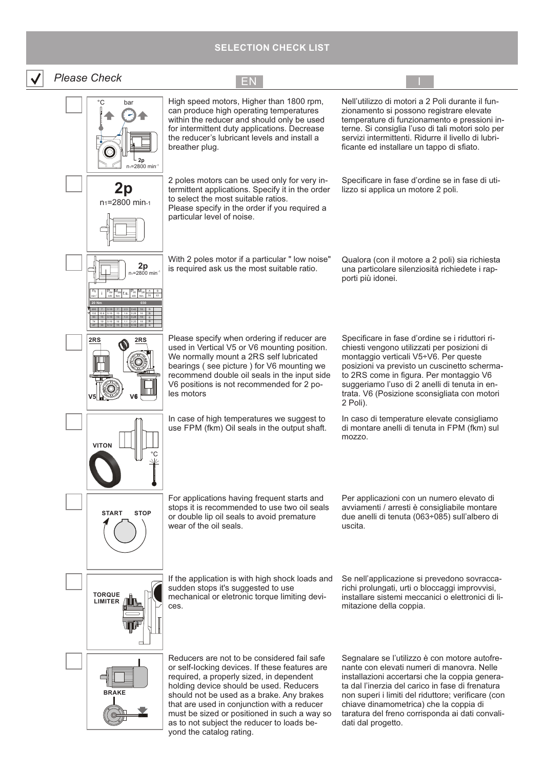## **SELECTION CHECK LIST**

| <b>Please Check</b>                                       | $\mathsf{E}\mathsf{N}$                                                                                                                                                                                                                                                                                                                                                                                 |                                                                                                                                                                                                                                                                                                                                                                            |
|-----------------------------------------------------------|--------------------------------------------------------------------------------------------------------------------------------------------------------------------------------------------------------------------------------------------------------------------------------------------------------------------------------------------------------------------------------------------------------|----------------------------------------------------------------------------------------------------------------------------------------------------------------------------------------------------------------------------------------------------------------------------------------------------------------------------------------------------------------------------|
| °С<br>bar<br>2p<br>n <sub>1</sub> =2800 min <sup>-1</sup> | High speed motors, Higher than 1800 rpm,<br>can produce high operating temperatures<br>within the reducer and should only be used<br>for intermittent duty applications. Decrease<br>the reducer's lubricant levels and install a<br>breather plug.                                                                                                                                                    | Nell'utilizzo di motori a 2 Poli durante il fun-<br>zionamento si possono registrare elevate<br>temperature di funzionamento e pressioni in-<br>terne. Si consiglia l'uso di tali motori solo per<br>servizi intermittenti. Ridurre il livello di lubri-<br>ficante ed installare un tappo di sfiato.                                                                      |
| 2p<br>n <sub>1</sub> =2800 min-1                          | 2 poles motors can be used only for very in-<br>termittent applications. Specify it in the order<br>to select the most suitable ratios.<br>Please specify in the order if you required a<br>particular level of noise.                                                                                                                                                                                 | Specificare in fase d'ordine se in fase di uti-<br>lizzo si applica un motore 2 poli.                                                                                                                                                                                                                                                                                      |
| $2p$ <sub>n</sub> =2800 min <sup>-1</sup>                 | With 2 poles motor if a particular " low noise"<br>is required ask us the most suitable ratio.                                                                                                                                                                                                                                                                                                         | Qualora (con il motore a 2 poli) sia richiesta<br>una particolare silenziosità richiedete i rap-<br>porti più idonei.                                                                                                                                                                                                                                                      |
| 2RS<br>2RS                                                | Please specify when ordering if reducer are<br>used in Vertical V5 or V6 mounting position.<br>We normally mount a 2RS self lubricated<br>bearings (see picture) for V6 mounting we<br>recommend double oil seals in the input side<br>V6 positions is not recommended for 2 po-<br>les motors                                                                                                         | Specificare in fase d'ordine se i riduttori ri-<br>chiesti vengono utilizzati per posizioni di<br>montaggio verticali V5÷V6. Per queste<br>posizioni va previsto un cuscinetto scherma-<br>to 2RS come in figura. Per montaggio V6<br>suggeriamo l'uso di 2 anelli di tenuta in en-<br>trata. V6 (Posizione sconsigliata con motori<br>2 Poli).                            |
| <b>VITON</b>                                              | In case of high temperatures we suggest to<br>use FPM (fkm) Oil seals in the output shaft.                                                                                                                                                                                                                                                                                                             | In caso di temperature elevate consigliamo<br>di montare anelli di tenuta in FPM (fkm) sul<br>mozzo.                                                                                                                                                                                                                                                                       |
| <b>START</b><br><b>STOP</b>                               | For applications having frequent starts and<br>stops it is recommended to use two oil seals<br>or double lip oil seals to avoid premature<br>wear of the oil seals.                                                                                                                                                                                                                                    | Per applicazioni con un numero elevato di<br>avviamenti / arresti è consigliabile montare<br>due anelli di tenuta (063÷085) sull'albero di<br>uscita.                                                                                                                                                                                                                      |
| <b>TORQUE</b><br><b>LIMITER</b>                           | If the application is with high shock loads and<br>sudden stops it's suggested to use<br>mechanical or eletronic torque limiting devi-<br>ces.                                                                                                                                                                                                                                                         | Se nell'applicazione si prevedono sovracca-<br>richi prolungati, urti o bloccaggi improvvisi,<br>installare sistemi meccanici o elettronici di li-<br>mitazione della coppia.                                                                                                                                                                                              |
| <b>BRAKE</b>                                              | Reducers are not to be considered fail safe<br>or self-locking devices. If these features are<br>required, a properly sized, in dependent<br>holding device should be used. Reducers<br>should not be used as a brake. Any brakes<br>that are used in conjunction with a reducer<br>must be sized or positioned in such a way so<br>as to not subject the reducer to loads be-<br>d the estales reting | Segnalare se l'utilizzo è con motore autofre-<br>nante con elevati numeri di manovra. Nelle<br>installazioni accertarsi che la coppia genera-<br>ta dal l'inerzia del carico in fase di frenatura<br>non superi i limiti del riduttore; verificare (con<br>chiave dinamometrica) che la coppia di<br>taratura del freno corrisponda ai dati convali-<br>dati dal progetto. |

yond the catalog rating.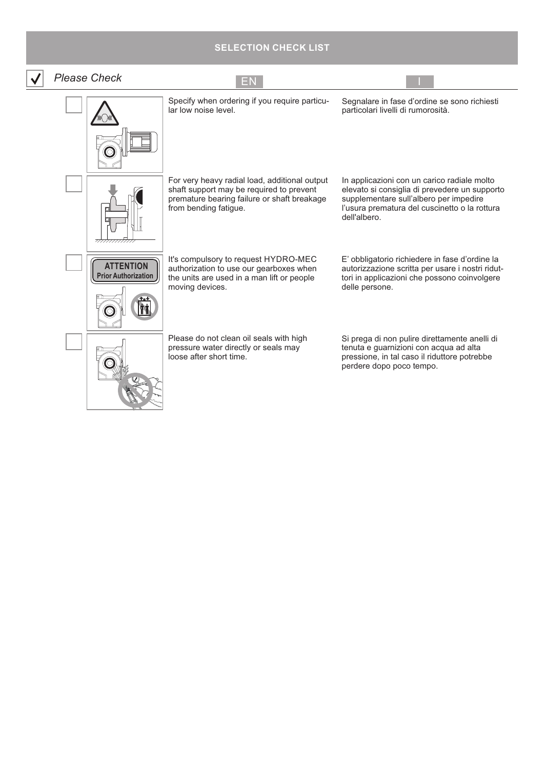# **SELECTION CHECK LIST**

| <b>Please Check</b>                            |                                                                                                                                                                   |                                                                                                                                                                                                         |
|------------------------------------------------|-------------------------------------------------------------------------------------------------------------------------------------------------------------------|---------------------------------------------------------------------------------------------------------------------------------------------------------------------------------------------------------|
|                                                | Specify when ordering if you require particu-<br>lar low noise level.                                                                                             | Segnalare in fase d'ordine se sono richiesti<br>particolari livelli di rumorosità.                                                                                                                      |
|                                                | For very heavy radial load, additional output<br>shaft support may be required to prevent<br>premature bearing failure or shaft breakage<br>from bending fatigue. | In applicazioni con un carico radiale molto<br>elevato si consiglia di prevedere un supporto<br>supplementare sull'albero per impedire<br>l'usura prematura del cuscinetto o la rottura<br>dell'albero. |
| <b>ATTENTION</b><br><b>Prior Authorization</b> | It's compulsory to request HYDRO-MEC<br>authorization to use our gearboxes when<br>the units are used in a man lift or people<br>moving devices.                  | E' obbligatorio richiedere in fase d'ordine la<br>autorizzazione scritta per usare i nostri ridut-<br>tori in applicazioni che possono coinvolgere<br>delle persone.                                    |
|                                                | Please do not clean oil seals with high<br>pressure water directly or seals may<br>loose after short time.                                                        | Si prega di non pulire direttamente anelli di<br>tenuta e guarnizioni con acqua ad alta<br>pressione, in tal caso il riduttore potrebbe<br>perdere dopo poco tempo.                                     |

 $\boxed{\underline{\mathbf{v}}}$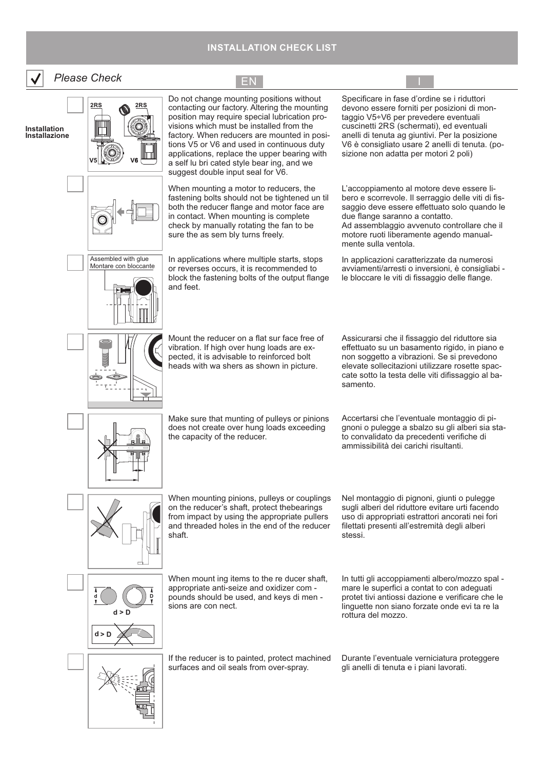#### **INSTALLATION CHECK LIST**

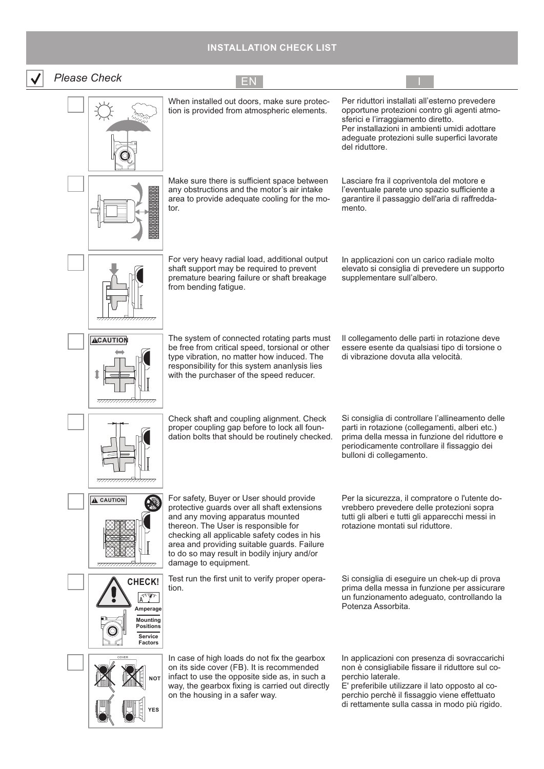### **INSTALLATION CHECK LIST**

| <b>Please Check</b>                                                                                                                          | EN                                                                                                                                                                                                                                                                                                                                       |                                                                                                                                                                                                                                                                             |
|----------------------------------------------------------------------------------------------------------------------------------------------|------------------------------------------------------------------------------------------------------------------------------------------------------------------------------------------------------------------------------------------------------------------------------------------------------------------------------------------|-----------------------------------------------------------------------------------------------------------------------------------------------------------------------------------------------------------------------------------------------------------------------------|
|                                                                                                                                              | When installed out doors, make sure protec-<br>tion is provided from atmospheric elements.                                                                                                                                                                                                                                               | Per riduttori installati all'esterno prevedere<br>opportune protezioni contro gli agenti atmo-<br>sferici e l'irraggiamento diretto.<br>Per installazioni in ambienti umidi adottare<br>adeguate protezioni sulle superfici lavorate<br>del riduttore.                      |
|                                                                                                                                              | Make sure there is sufficient space between<br>any obstructions and the motor's air intake<br>area to provide adequate cooling for the mo-<br>tor.                                                                                                                                                                                       | Lasciare fra il copriventola del motore e<br>l'eventuale parete uno spazio sufficiente a<br>garantire il passaggio dell'aria di raffredda-<br>mento.                                                                                                                        |
|                                                                                                                                              | For very heavy radial load, additional output<br>shaft support may be required to prevent<br>premature bearing failure or shaft breakage<br>from bending fatigue.                                                                                                                                                                        | In applicazioni con un carico radiale molto<br>elevato si consiglia di prevedere un supporto<br>supplementare sull'albero.                                                                                                                                                  |
| <b>ACAUTION</b>                                                                                                                              | The system of connected rotating parts must<br>be free from critical speed, torsional or other<br>type vibration, no matter how induced. The<br>responsibility for this system ananlysis lies<br>with the purchaser of the speed reducer.                                                                                                | Il collegamento delle parti in rotazione deve<br>essere esente da qualsiasi tipo di torsione o<br>di vibrazione dovuta alla velocità.                                                                                                                                       |
| ,,,,,,,,, <del>,,,,,,,,,,,,,,,,,,,</del>                                                                                                     | Check shaft and coupling alignment. Check<br>proper coupling gap before to lock all foun-<br>dation bolts that should be routinely checked.                                                                                                                                                                                              | Si consiglia di controllare l'allineamento delle<br>parti in rotazione (collegamenti, alberi etc.)<br>prima della messa in funzione del riduttore e<br>periodicamente controllare il fissaggio dei<br>bulloni di collegamento.                                              |
| $\triangle$ CAUTION<br><del>//////////////////</del> //                                                                                      | For safety, Buyer or User should provide<br>protective guards over all shaft extensions<br>and any moving apparatus mounted<br>thereon. The User is responsible for<br>checking all applicable safety codes in his<br>area and providing suitable guards. Failure<br>to do so may result in bodily injury and/or<br>damage to equipment. | Per la sicurezza, il compratore o l'utente do-<br>vrebbero prevedere delle protezioni sopra<br>tutti gli alberi e tutti gli apparecchi messi in<br>rotazione montati sul riduttore.                                                                                         |
| CHECK!<br>$\sqrt{\lambda^{\text{top}}/\lambda^{\text{top}}}$<br>Amperage<br><b>Mounting</b><br><b>Positions</b><br>Service<br><b>Factors</b> | Test run the first unit to verify proper opera-<br>tion.                                                                                                                                                                                                                                                                                 | Si consiglia di eseguire un chek-up di prova<br>prima della messa in funzione per assicurare<br>un funzionamento adeguato, controllando la<br>Potenza Assorbita.                                                                                                            |
| COVER<br>МОТ<br>YES                                                                                                                          | In case of high loads do not fix the gearbox<br>on its side cover (FB). It is recommended<br>infact to use the opposite side as, in such a<br>way, the gearbox fixing is carried out directly<br>on the housing in a safer way.                                                                                                          | In applicazioni con presenza di sovraccarichi<br>non è consigliabile fissare il riduttore sul co-<br>perchio laterale.<br>E' preferibile utilizzare il lato opposto al co-<br>perchio perchè il fissaggio viene effettuato<br>di rettamente sulla cassa in modo più rigido. |